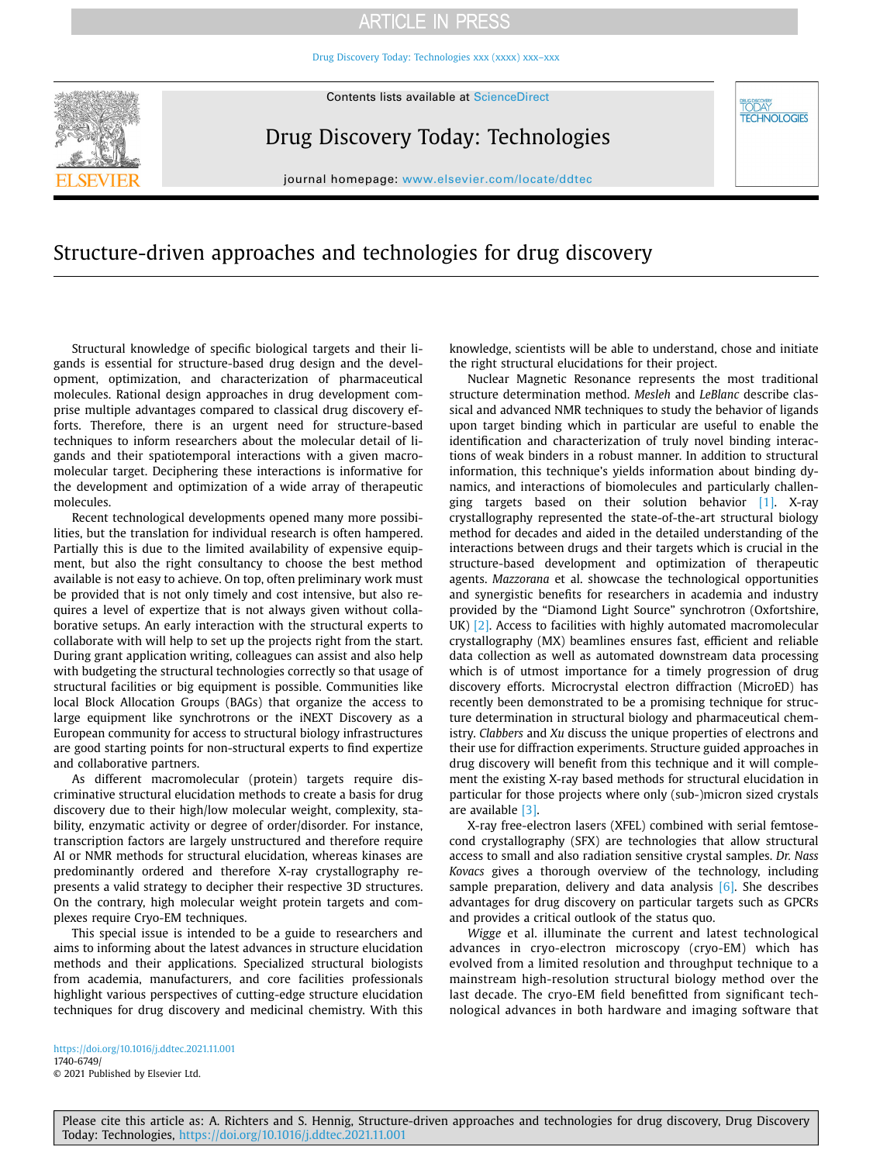# **ARTICLE IN PRESS**

[Drug Discovery Today: Technologies xxx \(xxxx\) xxx–xxx](https://doi.org/10.1016/j.ddtec.2021.11.001) 



Contents lists available at [ScienceDirect](http://www.sciencedirect.com/science/journal/17406749) 

Drug Discovery Today: Technologies

**DAY TECHNOLOGIES** 

journal homepage: <www.elsevier.com/locate/ddtec>

# Structure-driven approaches and technologies for drug discovery

Structural knowledge of specific biological targets and their ligands is essential for structure-based drug design and the development, optimization, and characterization of pharmaceutical molecules. Rational design approaches in drug development comprise multiple advantages compared to classical drug discovery efforts. Therefore, there is an urgent need for structure-based techniques to inform researchers about the molecular detail of ligands and their spatiotemporal interactions with a given macromolecular target. Deciphering these interactions is informative for the development and optimization of a wide array of therapeutic molecules.

Recent technological developments opened many more possibilities, but the translation for individual research is often hampered. Partially this is due to the limited availability of expensive equipment, but also the right consultancy to choose the best method available is not easy to achieve. On top, often preliminary work must be provided that is not only timely and cost intensive, but also requires a level of expertize that is not always given without collaborative setups. An early interaction with the structural experts to collaborate with will help to set up the projects right from the start. During grant application writing, colleagues can assist and also help with budgeting the structural technologies correctly so that usage of structural facilities or big equipment is possible. Communities like local Block Allocation Groups (BAGs) that organize the access to large equipment like synchrotrons or the iNEXT Discovery as a European community for access to structural biology infrastructures are good starting points for non-structural experts to find expertize and collaborative partners.

As different macromolecular (protein) targets require discriminative structural elucidation methods to create a basis for drug discovery due to their high/low molecular weight, complexity, stability, enzymatic activity or degree of order/disorder. For instance, transcription factors are largely unstructured and therefore require AI or NMR methods for structural elucidation, whereas kinases are predominantly ordered and therefore X-ray crystallography represents a valid strategy to decipher their respective 3D structures. On the contrary, high molecular weight protein targets and complexes require Cryo-EM techniques.

This special issue is intended to be a guide to researchers and aims to informing about the latest advances in structure elucidation methods and their applications. Specialized structural biologists from academia, manufacturers, and core facilities professionals highlight various perspectives of cutting-edge structure elucidation techniques for drug discovery and medicinal chemistry. With this

knowledge, scientists will be able to understand, chose and initiate the right structural elucidations for their project.

Nuclear Magnetic Resonance represents the most traditional structure determination method. *Mesleh* and *LeBlanc* describe classical and advanced NMR techniques to study the behavior of ligands upon target binding which in particular are useful to enable the identification and characterization of truly novel binding interactions of weak binders in a robust manner. In addition to structural information, this technique's yields information about binding dynamics, and interactions of biomolecules and particularly challenging targets based on their solution behavior [\[1\]](#page-1-0). X-ray crystallography represented the state-of-the-art structural biology method for decades and aided in the detailed understanding of the interactions between drugs and their targets which is crucial in the structure-based development and optimization of therapeutic agents. *Mazzorana* et al. showcase the technological opportunities and synergistic benefits for researchers in academia and industry provided by the "Diamond Light Source" synchrotron (Oxfortshire, UK) [\[2\].](#page-1-1) Access to facilities with highly automated macromolecular crystallography (MX) beamlines ensures fast, efficient and reliable data collection as well as automated downstream data processing which is of utmost importance for a timely progression of drug discovery efforts. Microcrystal electron diffraction (MicroED) has recently been demonstrated to be a promising technique for structure determination in structural biology and pharmaceutical chemistry. *Clabbers* and *Xu* discuss the unique properties of electrons and their use for diffraction experiments. Structure guided approaches in drug discovery will benefit from this technique and it will complement the existing X-ray based methods for structural elucidation in particular for those projects where only (sub-)micron sized crystals are available [\[3\]](#page-1-2).

X-ray free-electron lasers (XFEL) combined with serial femtosecond crystallography (SFX) are technologies that allow structural access to small and also radiation sensitive crystal samples. *Dr. Nass Kovacs* gives a thorough overview of the technology, including sample preparation, delivery and data analysis  $[6]$ . She describes advantages for drug discovery on particular targets such as GPCRs and provides a critical outlook of the status quo.

*Wigge* et al. illuminate the current and latest technological advances in cryo-electron microscopy (cryo-EM) which has evolved from a limited resolution and throughput technique to a mainstream high-resolution structural biology method over the last decade. The cryo-EM field benefitted from significant technological advances in both hardware and imaging software that